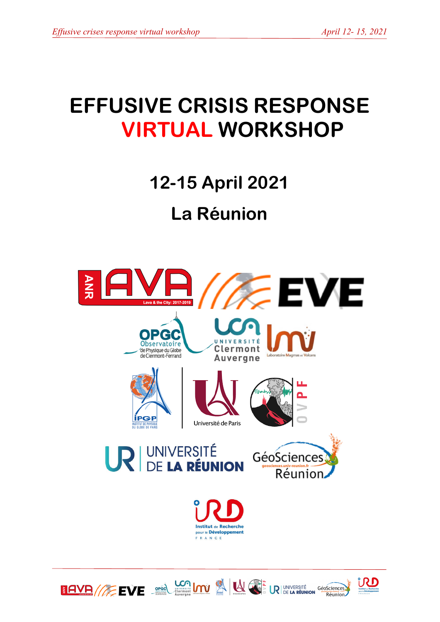# **EFFUSIVE CRISIS RESPONSE VIRTUAL WORKSHOP**

**12-15 April 2021**

## **La Réunion**



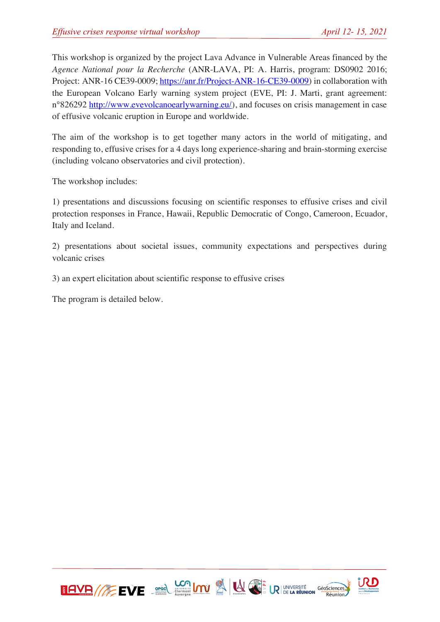This workshop is organized by the project Lava Advance in Vulnerable Areas financed by the *Agence National pour la Recherche* (ANR-LAVA, PI: A. Harris, program: DS0902 2016; Project: ANR-16 CE39-0009; https://anr.fr/Project-ANR-16-CE39-0009) in collaboration with the European Volcano Early warning system project (EVE, PI: J. Marti, grant agreement: n°826292 http://www.evevolcanoearlywarning.eu/), and focuses on crisis management in case of effusive volcanic eruption in Europe and worldwide.

The aim of the workshop is to get together many actors in the world of mitigating, and responding to, effusive crises for a 4 days long experience-sharing and brain-storming exercise (including volcano observatories and civil protection).

The workshop includes:

1) presentations and discussions focusing on scientific responses to effusive crises and civil protection responses in France, Hawaii, Republic Democratic of Congo, Cameroon, Ecuador, Italy and Iceland.

2) presentations about societal issues, community expectations and perspectives during volcanic crises

3) an expert elicitation about scientific response to effusive crises

The program is detailed below.



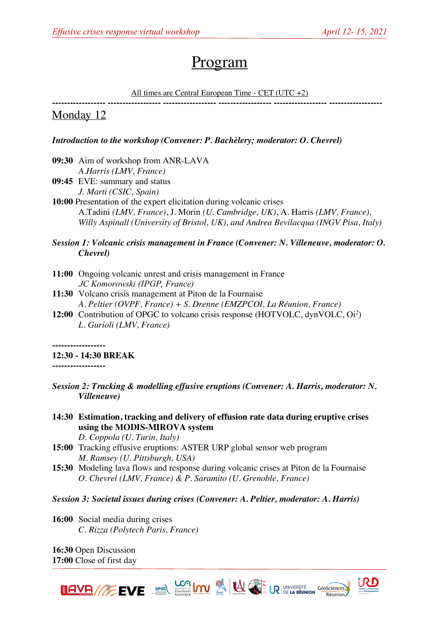## Program

#### All times are Central European Time - CET (UTC +2)

**------------------ ------------------ ------------------ ------------------ ------------------ ------------------**

### Monday 12

#### *Introduction to the workshop (Convener: P. Bachèlery; moderator: O. Chevrel)*

- **09:30** Aim of workshop from ANR-LAVA *A.Harris (LMV, France)*
- **09:45** EVE: summary and status *J. Marti (CSIC, Spain)*
- **10:00** Presentation of the expert elicitation during volcanic crises A.Tadini *(LMV, France)*, J. Morin *(U. Cambridge, UK)*, A. Harris *(LMV, France), Willy Aspinall (University of Bristol, UK), and Andrea Bevilacqua (INGV Pisa, Italy)*

#### *Session 1: Volcanic crisis management in France (Convener: N. Villeneuve, moderator: O. Chevrel)*

- **11:00** Ongoing volcanic unrest and crisis management in France  *JC Komorowski (IPGP, France)*
- **11:30** Volcano crisis management at Piton de la Fournaise *A. Peltier (OVPF, France) + S. Drenne (EMZPCOI, La Réunion, France)*
- 12:00 Contribution of OPGC to volcano crisis response (HOTVOLC, dynVOLC, Oi<sup>2</sup>) *L. Gurioli (LMV, France)*

**------------------**

**12:30 - 14:30 BREAK**

**------------------**

- *Session 2: Tracking & modelling effusive eruptions (Convener: A. Harris, moderator: N. Villeneuve)*
- **14:30 Estimation, tracking and delivery of effusion rate data during eruptive crises using the MODIS-MIROVA system** *D. Coppola (U. Turin, Italy)*
- **15:00** Tracking effusive eruptions: ASTER URP global sensor web program *M. Ramsey (U. Pittsburgh, USA)*
- **15:30** Modeling lava flows and response during volcanic crises at Piton de la Fournaise *O. Chevrel (LMV, France) & P. Saramito (U. Grenoble, France)*
- *Session 3: Societal issues during crises (Convener: A. Peltier, moderator: A. Harris)*

**16:00** Social media during crises *C. Rizza (Polytech Paris, France)*

**16:30** Open Discussion **17:00** Close of first day



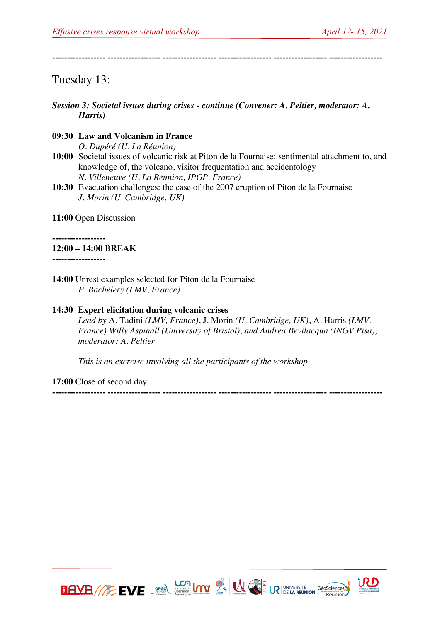**------------------ ------------------ ------------------ ------------------ ------------------ ------------------**

### Tuesday 13:

- *Session 3: Societal issues during crises - continue (Convener: A. Peltier, moderator: A. Harris)*
- **09:30 Law and Volcanism in France** *O. Dupéré (U. La Réunion)*
- **10:00** Societal issues of volcanic risk at Piton de la Fournaise: sentimental attachment to, and knowledge of, the volcano, visitor frequentation and accidentology *N. Villeneuve (U. La Réunion, IPGP, France)*
- **10:30** Evacuation challenges: the case of the 2007 eruption of Piton de la Fournaise *J. Morin (U. Cambridge, UK)*

**11:00** Open Discussion

**------------------**

#### **12:00 – 14:00 BREAK**

**------------------**

**14:00** Unrest examples selected for Piton de la Fournaise *P. Bachèlery (LMV, France)*

#### **14:30 Expert elicitation during volcanic crises**

*Lead by* A. Tadini *(LMV, France)*, J. Morin *(U. Cambridge, UK)*, A. Harris *(LMV, France) Willy Aspinall (University of Bristol), and Andrea Bevilacqua (INGV Pisa), moderator: A. Peltier*

*This is an exercise involving all the participants of the workshop*

**17:00** Close of second day

**------------------ ------------------ ------------------ ------------------ ------------------ ------------------**



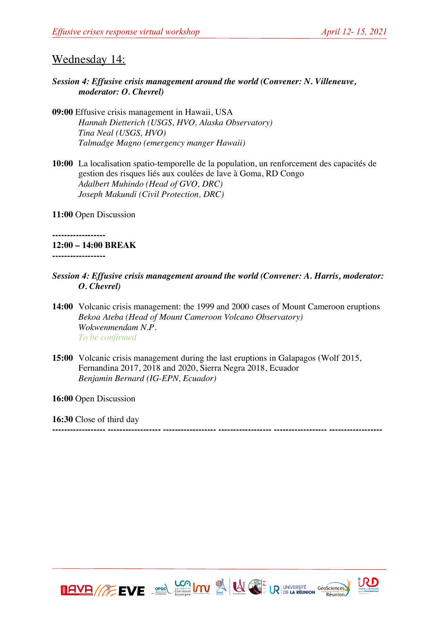## Wednesday 14:

#### *Session 4: Effusive crisis management around the world (Convener: N. Villeneuve, moderator: O. Chevrel)*

- **09:00** Effusive crisis management in Hawaii, USA *Hannah Dietterich (USGS, HVO, Alaska Observatory) Tina Neal (USGS, HVO) Talmadge Magno (emergency manger Hawaii)*
- **10:00** La localisation spatio-temporelle de la population, un renforcement des capacités de gestion des risques liés aux coulées de lave à Goma, RD Congo *Adalbert Muhindo (Head of GVO, DRC) Joseph Makundi (Civil Protection, DRC)*

**11:00** Open Discussion

**------------------ 12:00 – 14:00 BREAK ------------------**

- *Session 4: Effusive crisis management around the world (Convener: A. Harris, moderator: O. Chevrel)*
- **14:00** Volcanic crisis management: the 1999 and 2000 cases of Mount Cameroon eruptions *Bekoa Ateba (Head of Mount Cameroon Volcano Observatory) Wokwenmendam N.P. To be confirmed*
- **15:00** Volcanic crisis management during the last eruptions in Galapagos (Wolf 2015, Fernandina 2017, 2018 and 2020, Sierra Negra 2018, Ecuador *Benjamin Bernard (IG-EPN, Ecuador)*

**16:00** Open Discussion

**16:30** Close of third day

**------------------ ------------------ ------------------ ------------------ ------------------ ------------------**